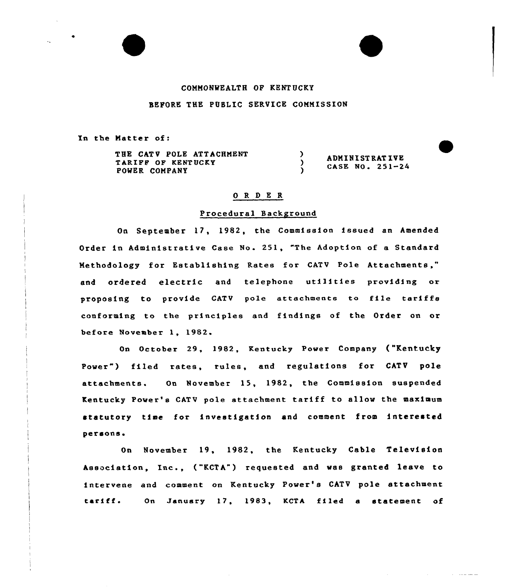#### CONNONWEALTH OP KENTUCKY

### BEFORE THE PGSLIC SERVICE CONNISSION

In the Natter of:

THE CATV POLE ATTACHMENT TARIFF OP KENTUCKY POWER COMPANY

ADNINIST RAT IVE CASE NO. 251-24

## 0 R <sup>D</sup> E R

)

 $\lambda$  $\lambda$ 

### Procedural Background

On September 17, 1982, the Commission issued an Amended Order in Administrative Case No. 251, "The Adoption of a Standard Methodology for Establishing Rates for CATV Pole Attachments," and ordered electric and telephone utilities providing or proposing to provide CATV pole attachments to file tariffs conforming to the principles and findings of the Order on or before November 1, 1982

On October 29, 1982, Kentucky Powex Company {"Kentucky Power") filed rates, rules, and regulations for CATV pole attachments. On November 15, 1982, the Commission suspended Kentucky Power's CATV pole attachment tariff to allow the maximum statutoxy time fox" investigation and comment from interested persons.

On November 19, 1982, the Kentucky Cable Television Association, Inc., ("KCTA") requested and was granted leave to intervene and comment on Kentucky Power's CATV pole attachment tariff. On January 17, 1983, KCTA filed a statement of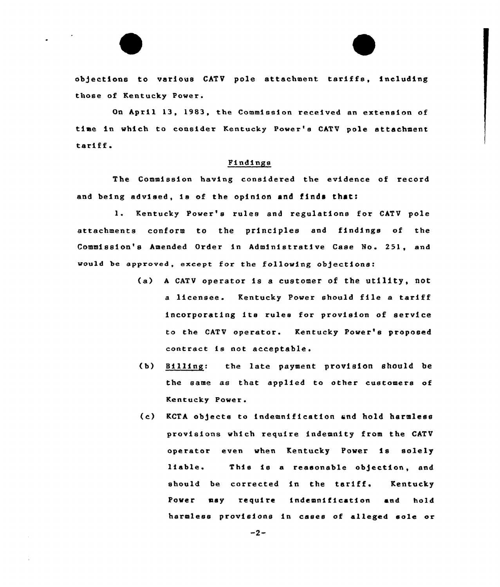# objections to various CATV pole attachment tariffs, including those of Kentucky Power.

On April 13, 1983, the Commission received an extension of time in which to consider Kentucky Power's CATV pole attachment tariff.

#### Findings

The Commission having considered the evidence of record and being advised, is of the opinion and finds that:

1. Kentucky Power's rules and regulations for CATV pole attachments conform to the principles and findings of the Commission's Amended Order in Administrative Case No. 251, and would be approved, except for the following objections:

- (a) <sup>A</sup> CATV operator is <sup>a</sup> customer of the utility, not <sup>a</sup> licensee. Kentucky Power should file <sup>a</sup> tariff incorporating its rules for provision of service to the CATV operator. Kentucky Power's proposed contract is not acceptable.
- (b) Billing: the late payment provision should be the same as that applied to other customers of Kentucky Power.
- (c) KCTA objects to indemnification and hold harmless provisions which require indemnity from the CATV operator even when Kentucky Power is solely liable. This is a reasonable objection, and should be corrected in the tariff. Kentucky Power msy require indemnification and hold harmless provisions in cases of alleged sole or

 $-2-$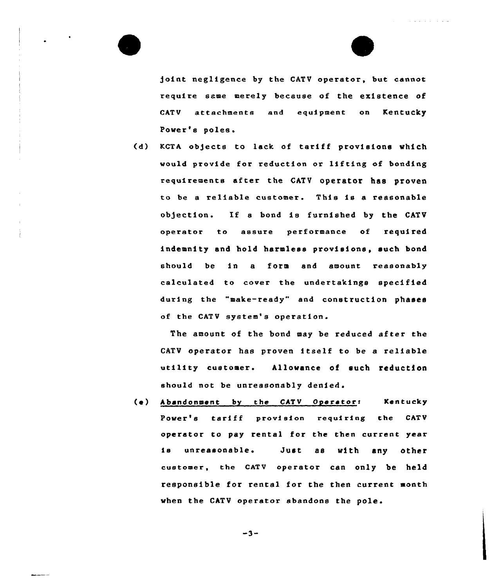



joint negligence by the CATV operator, but cannot require same merely because of the existence of CATV attachments and equipment on Kentucky Power's poles.

(d) KCTA objects to lack of tariff provisions which would provide for reduction or lifting of bonding requirements after the CATV operator has proven to be a reliable customer. This is a reasonable ob)ection. If <sup>a</sup> bond is furnished by the CATV opexator to assure performance of required indemnity and hold harmless provisions, such bond should be in a form and amount reasonably calculated to covex the undextakings spec1fied during the "make-ready" and construction phases of the CATV system's operation.

The amount of the bond may be reduced after the CATV operator has proven itself to be <sup>a</sup> reliable utility customer. Allowance of such reduction should not be unreasonably denied.

(e) Abandonment by the CATV Operator: Kentucky Power's tariff provision requiring the CATV operator to pay rental for the then current year is unreasonable. Just as with any other customer, the CATV operator can only be held responsible for rental for the then current month when the CATV operator abandons the pole.

$$
-3-
$$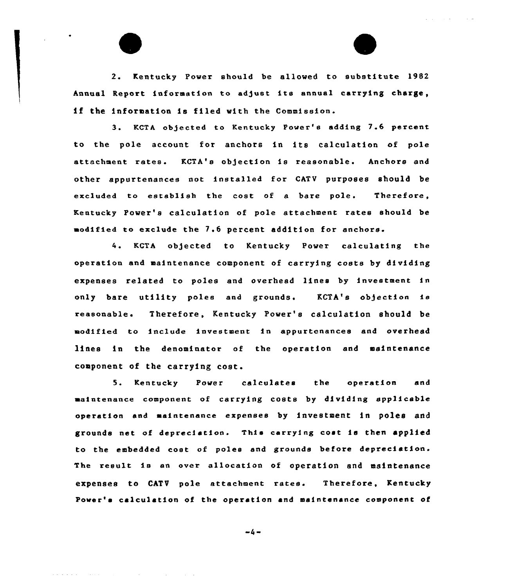2. Kentucky Power should be allowed to substitute 19B2 Annual Report information to adjust its annual carrying charge, if the information is filed with the Commission.

3. KCTA objected to Kentucky Power's adding 7.6 percent to the pole account for anchors in its calculation of pole attachment rates. KCTA's objection is reasonable. Anchors and other appurtenances not installed for CATV purposes should be excluded to establish the cost of a bare pole. Therefore, Kentucky Power's calculation of pole attachment rates should be modified to exclude the 7.6 percent addition for anchors.

4. KCTA ob)ected to Kentucky Power calculating the operation and maintenance component of carrying costs by dividing expenses related to poles and overhead lines by investment in only bare utility poles and grounds. KCTA's objection is reasonable. Therefore, Kentucky Power's calculation should be modified to include investment in appurtenances and overhead lines in the denominator of the operation and maintenance component of the carrying cost.

5. Kentucky Power calculates the operation and maintenance component of carrying costs by dividing applicable operation and maintenance expenses by investment in poles and grounds net of depreciation. This carrying cost is then applied to the embedded cost of poles and grounds before depreciation. The result, is an over allocation of operation and maintenance expenses to CATV pole attachment rates. Therefore, Kentucky Power's calculation of the operation and maintenance component of

 $-4-$ 

where  $\mathcal{L}=\mathcal{L}$  is a set of the set of the set of the set of the set of the set of the set of the set of the set of the set of the set of the set of the set of the set of the set of the set of the set of the set of t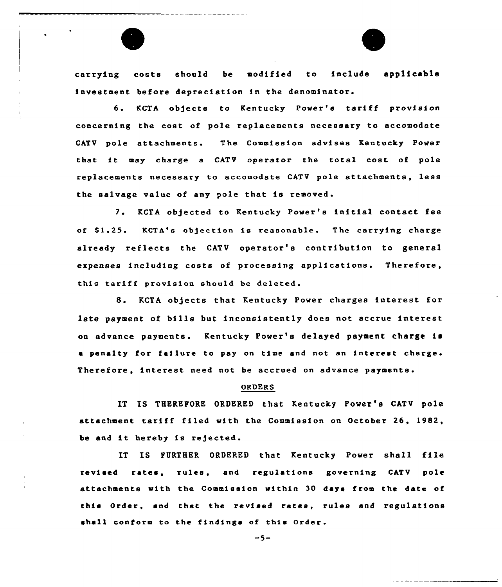

carrying costs should be modified to include applicable investment before depreciation in the denominator.

6. KCTA objects to Kentucky Power's tariff provision concerning the cost of pole replacements necessary to accomodate CATV pole attachments The Commission advises Kentucky Power that it may charge a CATV operator the total cost of pole replacements necessary to aeeomodate CATV pole attachments, less the salvage value of any pole that is removed.

7. KCTA objected to Kentucky Power's initial contact fee of \$1.25. KCTA's objection is reasonable. The carrying charge already reflects the CATV operatox's contribution to general expenses including costs of processing applications. Therefore, this tariff provision should be deleted.

8. KCTA objects that Kentucky Power charges interest for late payment of bills but inconsistently does not accrue interest on advance payments. Kentucky Power's delayed payment charge is a penalty for failure to pay on time and not an interest charge. Therefoxe, interest need not be accrued on advance payments.

#### ORDERS

IT IS THEREFORE ORDERED that Kentucky Power's CATV pole attachment tariff filed with the Commission on October 26, 1982, be and it hereby is rejected.

IT IS FURTHER ORDERED that Kentucky Power shall file revised rates, rules, and regulations governing CATV pole attachments with the Commission within 30 days from the date of this Order, and that the revised rates, rules and regulations shall conform to the findings of this Order.